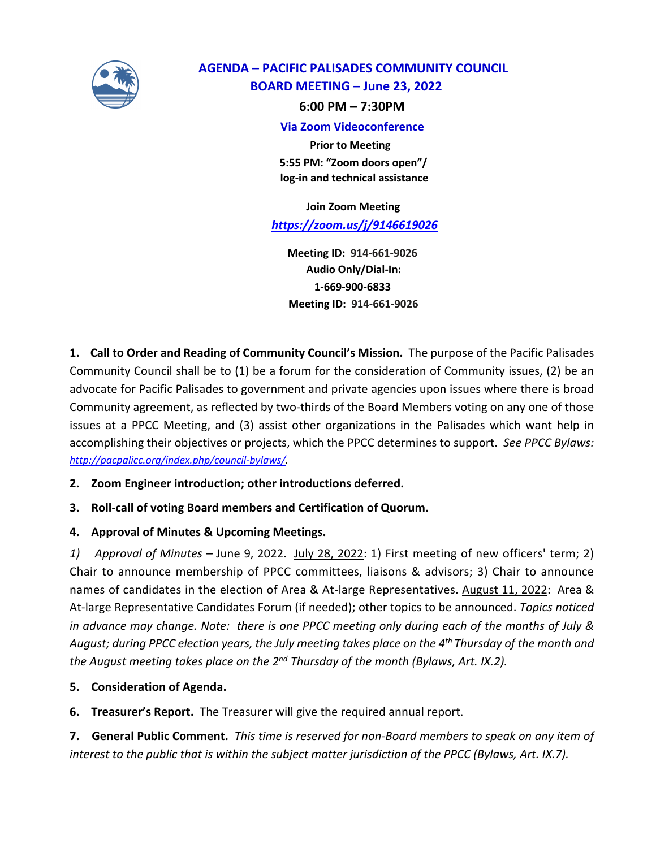

# **AGENDA – PACIFIC PALISADES COMMUNITY COUNCIL BOARD MEETING – June 23, 2022**

 **6:00 PM – 7:30PM**

#### **Via Zoom Videoconference**

 **Prior to Meeting 5:55 PM: "Zoom doors open"/ log-in and technical assistance** 

 **Join Zoom Meeting** *https://zoom.us/j/9146619026*

 **Meeting ID: 914-661-9026 Audio Only/Dial-In: 1-669-900-6833 Meeting ID: 914-661-9026**

**1. Call to Order and Reading of Community Council's Mission.** The purpose of the Pacific Palisades Community Council shall be to (1) be a forum for the consideration of Community issues, (2) be an advocate for Pacific Palisades to government and private agencies upon issues where there is broad Community agreement, as reflected by two-thirds of the Board Members voting on any one of those issues at a PPCC Meeting, and (3) assist other organizations in the Palisades which want help in accomplishing their objectives or projects, which the PPCC determines to support. *See PPCC Bylaws: http://pacpalicc.org/index.php/council-bylaws/.*

# **2. Zoom Engineer introduction; other introductions deferred.**

# **3. Roll-call of voting Board members and Certification of Quorum.**

# **4. Approval of Minutes & Upcoming Meetings.**

*1) Approval of Minutes –* June 9, 2022. July 28, 2022: 1) First meeting of new officers' term; 2) Chair to announce membership of PPCC committees, liaisons & advisors; 3) Chair to announce names of candidates in the election of Area & At-large Representatives. August 11, 2022: Area & At-large Representative Candidates Forum (if needed); other topics to be announced. *Topics noticed in advance may change. Note: there is one PPCC meeting only during each of the months of July & August; during PPCC election years, the July meeting takes place on the 4th Thursday of the month and the August meeting takes place on the 2nd Thursday of the month (Bylaws, Art. IX.2).*

**5. Consideration of Agenda.** 

**6. Treasurer's Report.** The Treasurer will give the required annual report.

**7. General Public Comment.** *This time is reserved for non-Board members to speak on any item of interest to the public that is within the subject matter jurisdiction of the PPCC (Bylaws, Art. IX.7).*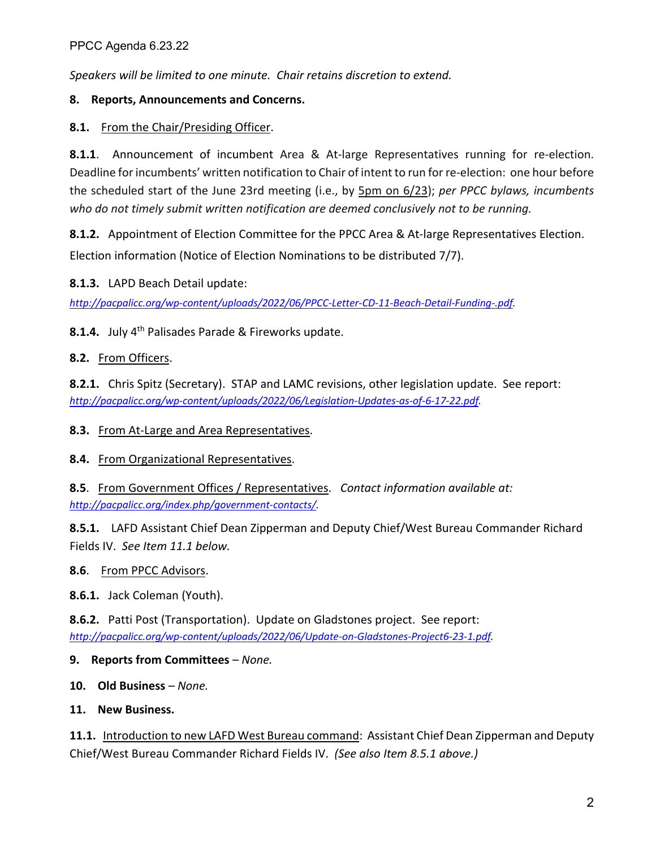*Speakers will be limited to one minute. Chair retains discretion to extend.* 

# **8. Reports, Announcements and Concerns.**

# **8.1.** From the Chair/Presiding Officer.

**8.1.1**. Announcement of incumbent Area & At-large Representatives running for re*-*election. Deadline for incumbents' written notification to Chair of intent to run for re-election: one hour before the scheduled start of the June 23rd meeting (i.e., by 5pm on 6/23); *per PPCC bylaws, incumbents who do not timely submit written notification are deemed conclusively not to be running.*

**8.1.2.** Appointment of Election Committee for the PPCC Area & At-large Representatives Election.

Election information (Notice of Election Nominations to be distributed 7/7).

**8.1.3.** LAPD Beach Detail update:

*http://pacpalicc.org/wp-content/uploads/2022/06/PPCC-Letter-CD-11-Beach-Detail-Funding-.pdf.*

**8.1.4.** July 4<sup>th</sup> Palisades Parade & Fireworks update.

# **8.2.** From Officers.

**8.2.1.** Chris Spitz (Secretary). STAP and LAMC revisions, other legislation update. See report: *http://pacpalicc.org/wp-content/uploads/2022/06/Legislation-Updates-as-of-6-17-22.pdf.*

# **8.3.** From At-Large and Area Representatives.

# **8.4.** From Organizational Representatives.

**8.5**. From Government Offices / Representatives. *Contact information available at: http://pacpalicc.org/index.php/government-contacts/.*

**8.5.1.** LAFD Assistant Chief Dean Zipperman and Deputy Chief/West Bureau Commander Richard Fields IV. *See Item 11.1 below.*

# **8.6**. From PPCC Advisors.

**8.6.1.** Jack Coleman (Youth).

**8.6.2.** Patti Post (Transportation). Update on Gladstones project. See report: *http://pacpalicc.org/wp-content/uploads/2022/06/Update-on-Gladstones-Project6-23-1.pdf.*

# **9. Reports from Committees** *– None.*

**10. Old Business** *– None.*

# **11. New Business.**

**11.1.** Introduction to new LAFD West Bureau command: Assistant Chief Dean Zipperman and Deputy Chief/West Bureau Commander Richard Fields IV. *(See also Item 8.5.1 above.)*